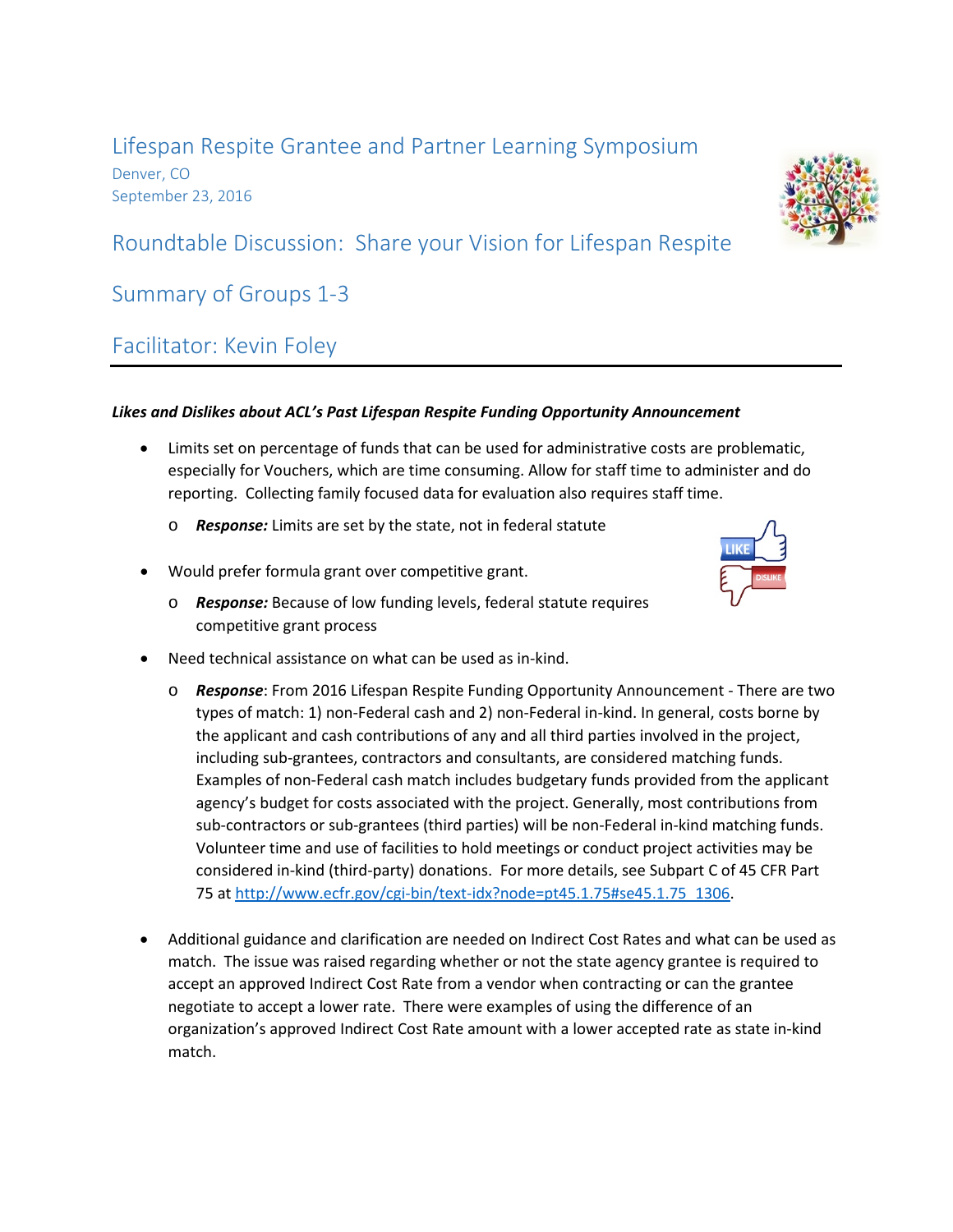### Lifespan Respite Grantee and Partner Learning Symposium Denver, CO September 23, 2016

# Roundtable Discussion: Share your Vision for Lifespan Respite

### Summary of Groups 1-3

# Facilitator: Kevin Foley

### *Likes and Dislikes about ACL's Past Lifespan Respite Funding Opportunity Announcement*

- Limits set on percentage of funds that can be used for administrative costs are problematic, especially for Vouchers, which are time consuming. Allow for staff time to administer and do reporting. Collecting family focused data for evaluation also requires staff time.
	- o *Response:* Limits are set by the state, not in federal statute
- Would prefer formula grant over competitive grant.
	- o *Response:* Because of low funding levels, federal statute requires competitive grant process
- Need technical assistance on what can be used as in-kind.
	- o *Response*: From 2016 Lifespan Respite Funding Opportunity Announcement There are two types of match: 1) non-Federal cash and 2) non-Federal in-kind. In general, costs borne by the applicant and cash contributions of any and all third parties involved in the project, including sub-grantees, contractors and consultants, are considered matching funds. Examples of non-Federal cash match includes budgetary funds provided from the applicant agency's budget for costs associated with the project. Generally, most contributions from sub-contractors or sub-grantees (third parties) will be non-Federal in-kind matching funds. Volunteer time and use of facilities to hold meetings or conduct project activities may be considered in-kind (third-party) donations. For more details, see Subpart C of 45 CFR Part 75 at [http://www.ecfr.gov/cgi-bin/text-idx?node=pt45.1.75#se45.1.75\\_1306.](http://www.ecfr.gov/cgi-bin/text-idx?node=pt45.1.75#se45.1.75_1306)
- Additional guidance and clarification are needed on Indirect Cost Rates and what can be used as match. The issue was raised regarding whether or not the state agency grantee is required to accept an approved Indirect Cost Rate from a vendor when contracting or can the grantee negotiate to accept a lower rate. There were examples of using the difference of an organization's approved Indirect Cost Rate amount with a lower accepted rate as state in-kind match.